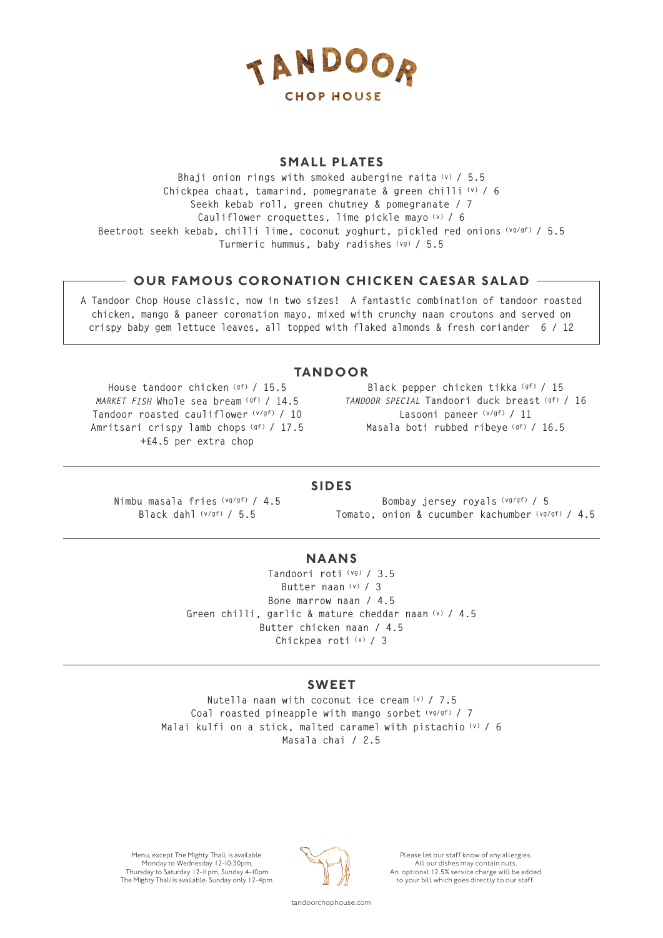

#### **SMALL PLATES**

**Bhaji onion rings with smoked aubergine raita (v) / 5.5 Chickpea chaat, tamarind, pomegranate & green chilli (v) / 6 Seekh kebab roll, green chutney & pomegranate / 7 Cauliflower croquettes, lime pickle mayo (v) / 6 Beetroot seekh kebab, chilli lime, coconut yoghurt, pickled red onions (vg/gf) / 5.5 Turmeric hummus, baby radishes (vg) / 5.5**

# **- OUR FAMOUS CORONATION CHICKEN CAESAR SALAD**  $-$

**A Tandoor Chop House classic, now in two sizes! A fantastic combination of tandoor roasted chicken, mango & paneer coronation mayo, mixed with crunchy naan croutons and served on crispy baby gem lettuce leaves, all topped with flaked almonds & fresh coriander 6 / 12**

# **TANDOO R**

**House tandoor chicken (gf) / 15.5**  *MARKET FISH* **Whole sea bream (gf) / 14.5 Tandoor roasted cauliflower (v/gf) / 10 Amritsari crispy lamb chops (gf) / 17.5 +£4.5 per extra chop**

**Black pepper chicken tikka (gf) / 15** *TANDOOR SPECIAL* **Tandoori duck breast (gf) / 16 Lasooni paneer (v/gf) / 11 Masala boti rubbed ribeye (gf) / 16.5** 

#### **SIDES**

**Nimbu masala fries (vg/gf) / 4.5 Black dahl (v/gf) / 5.5**

**Bombay jersey royals (vg/gf) / 5 Tomato, onion & cucumber kachumber (vg/gf) / 4.5**

#### **NAANS**

**Tandoori roti (vg) / 3.5 Butter naan (v) / 3 Bone marrow naan / 4.5 Green chilli, garlic & mature cheddar naan (v) / 4.5 Butter chicken naan / 4.5 Chickpea roti (v) / 3**

#### **SWEET**

**Nutella naan with coconut ice cream (v) / 7.5 Coal roasted pineapple with mango sorbet (vg/gf) / 7 Malai kulfi on a stick, malted caramel with pistachio (v) / 6 Masala chai / 2.5**

Menu, except The Mighty Thali, is available: Monday to Wednesday 12-10:30pm, Thursday to Saturday 12-11pm, Sunday 4-10pm The Mighty Thali is available: Sunday only 12-4pm.



Please let our staff know of any allergies. All our dishes may contain nuts. An optional 12.5% service charge will be added to your bill which goes directly to our staff.